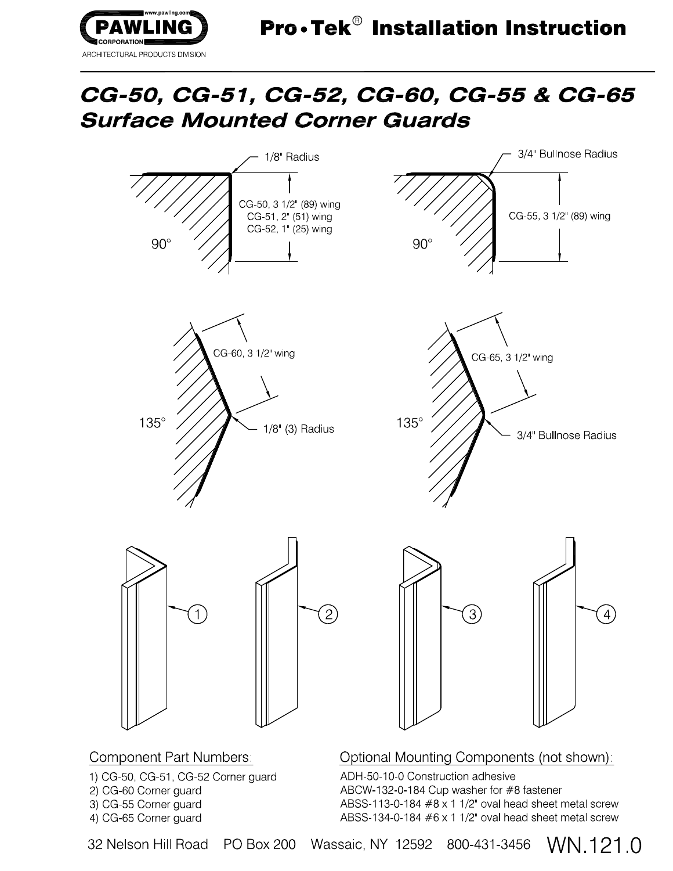

## CG-50, CG-51, CG-52, CG-60, CG-55 & CG-65 **Surface Mounted Corner Guards**



- 1) CG-50, CG-51, CG-52 Corner guard
- 2) CG-60 Corner guard

3) CG-55 Corner guard

4) CG-65 Corner quard

32 Nelson Hill Road

**PO Box 200** 

Wassaic, NY 12592 800-431-3456

ABCW-132-0-184 Cup washer for #8 fastener

ABSS-113-0-184  $#8 \times 1$  1/2" oval head sheet metal screw

ABSS-134-0-184 #6 x 1 1/2" oval head sheet metal screw

WN 121.0